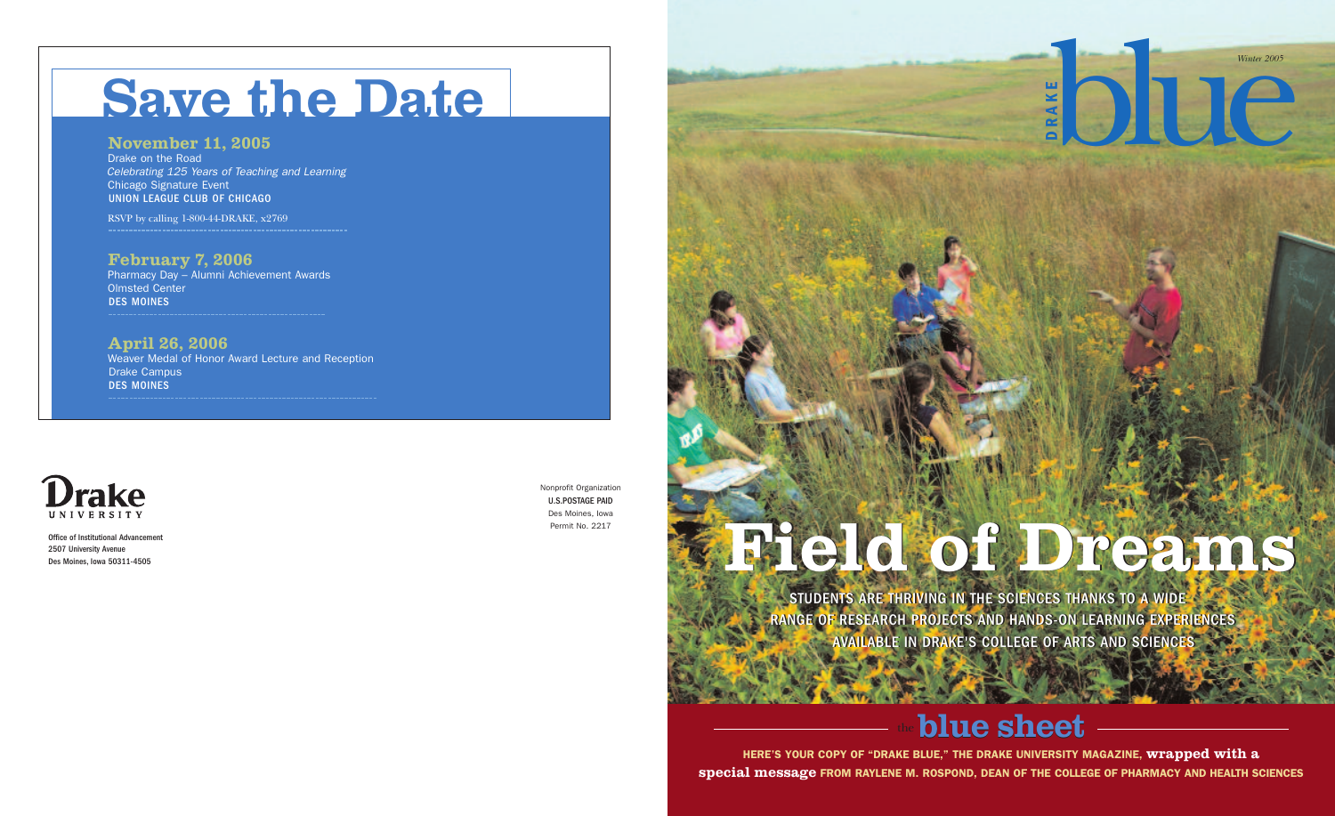STUDENTS ARE THRIVING IN THE SCIENCES THANKS TO A WIDE STUDENTS ARE THRIVING IN THE SCIENCES THANKS TO A WIDE RANGE OF RESEARCH PROJECTS AND HANDS-ON LEARNING EXPERIENCES RANGE OF RESEARCH PROJECTS AND HANDS-ON LEARNING EXPERIENCES AVAILABLE IN DRAKE'S COLLEGE OF ARTS AND SCIENCES AVAILABLE IN DRAKE'S COLLEGE OF ARTS AND SCIENCES

# **blue** sheet

# **Field of Dreams Field of Dreams**

**HERE'S YOUR COPY OF "DRAKE BLUE," THE DRAKE UNIVERSITY MAGAZINE, wrapped with a special message FROM RAYLENE M. ROSPOND, DEAN OF THE COLLEGE OF PHARMACY AND HEALTH SCIENCES**

Office of Institutional Advancement 2507 University Avenue Des Moines, Iowa 50311-4505

Nonprofit Organization U.S.POSTAGE PAID Des Moines, Iowa Permit No. 2217

# **Save the Date**

### **November 11, 2005**

Drake on the Road *Celebrating 125 Years of Teaching and Learning* Chicago Signature Event UNION LEAGUE CLUB OF CHICAGO

RSVP by calling 1-800-44-DRAKE, x2769

## **February 7, 2006**

Pharmacy Day – Alumni Achievement Awards Olmsted Center DES MOINES

**April 26, 2006** Weaver Medal of Honor Award Lecture and Reception Drake Campus DES MOINES